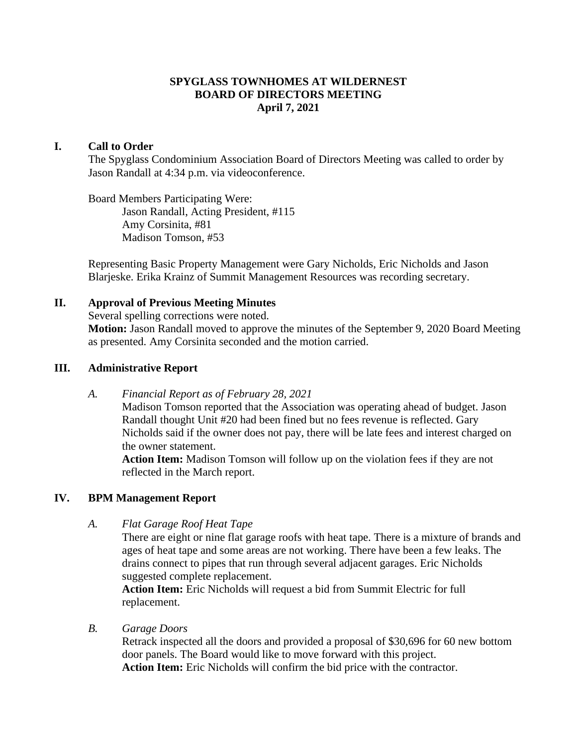## **SPYGLASS TOWNHOMES AT WILDERNEST BOARD OF DIRECTORS MEETING April 7, 2021**

## **I. Call to Order**

The Spyglass Condominium Association Board of Directors Meeting was called to order by Jason Randall at 4:34 p.m. via videoconference.

Board Members Participating Were: Jason Randall, Acting President, #115 Amy Corsinita, #81 Madison Tomson, #53

Representing Basic Property Management were Gary Nicholds, Eric Nicholds and Jason Blarjeske. Erika Krainz of Summit Management Resources was recording secretary.

## **II. Approval of Previous Meeting Minutes**

Several spelling corrections were noted.

**Motion:** Jason Randall moved to approve the minutes of the September 9, 2020 Board Meeting as presented. Amy Corsinita seconded and the motion carried.

### **III. Administrative Report**

*A. Financial Report as of February 28, 2021*

Madison Tomson reported that the Association was operating ahead of budget. Jason Randall thought Unit #20 had been fined but no fees revenue is reflected. Gary Nicholds said if the owner does not pay, there will be late fees and interest charged on the owner statement.

**Action Item:** Madison Tomson will follow up on the violation fees if they are not reflected in the March report.

# **IV. BPM Management Report**

*A. Flat Garage Roof Heat Tape*

There are eight or nine flat garage roofs with heat tape. There is a mixture of brands and ages of heat tape and some areas are not working. There have been a few leaks. The drains connect to pipes that run through several adjacent garages. Eric Nicholds suggested complete replacement.

**Action Item:** Eric Nicholds will request a bid from Summit Electric for full replacement.

*B. Garage Doors*

Retrack inspected all the doors and provided a proposal of \$30,696 for 60 new bottom door panels. The Board would like to move forward with this project. **Action Item:** Eric Nicholds will confirm the bid price with the contractor.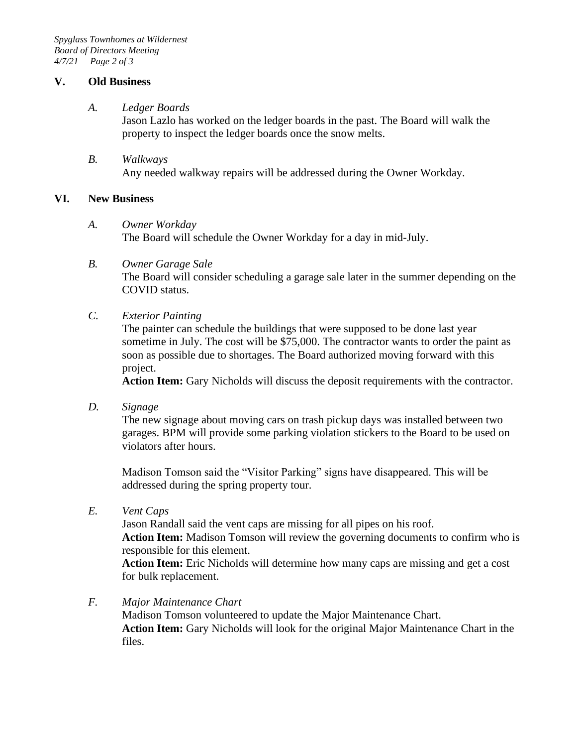## **V. Old Business**

#### *A. Ledger Boards*

Jason Lazlo has worked on the ledger boards in the past. The Board will walk the property to inspect the ledger boards once the snow melts.

*B. Walkways* Any needed walkway repairs will be addressed during the Owner Workday.

## **VI. New Business**

#### *A. Owner Workday*

The Board will schedule the Owner Workday for a day in mid-July.

*B. Owner Garage Sale*

The Board will consider scheduling a garage sale later in the summer depending on the COVID status.

*C. Exterior Painting*

The painter can schedule the buildings that were supposed to be done last year sometime in July. The cost will be \$75,000. The contractor wants to order the paint as soon as possible due to shortages. The Board authorized moving forward with this project.

**Action Item:** Gary Nicholds will discuss the deposit requirements with the contractor.

*D. Signage*

The new signage about moving cars on trash pickup days was installed between two garages. BPM will provide some parking violation stickers to the Board to be used on violators after hours.

Madison Tomson said the "Visitor Parking" signs have disappeared. This will be addressed during the spring property tour.

*E. Vent Caps*

Jason Randall said the vent caps are missing for all pipes on his roof.

**Action Item:** Madison Tomson will review the governing documents to confirm who is responsible for this element.

**Action Item:** Eric Nicholds will determine how many caps are missing and get a cost for bulk replacement.

*F. Major Maintenance Chart*

Madison Tomson volunteered to update the Major Maintenance Chart. **Action Item:** Gary Nicholds will look for the original Major Maintenance Chart in the files.